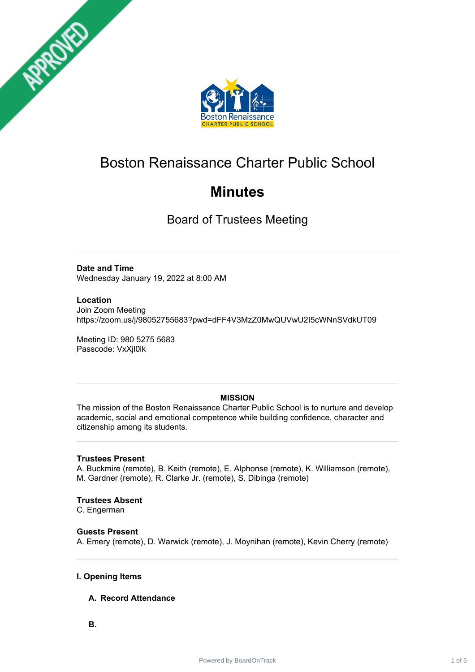



# Boston Renaissance Charter Public School

# **Minutes**

Board of Trustees Meeting

# **Date and Time**

Wednesday January 19, 2022 at 8:00 AM

# **Location**

Join Zoom Meeting https://zoom.us/j/98052755683?pwd=dFF4V3MzZ0MwQUVwU2I5cWNnSVdkUT09

Meeting ID: 980 5275 5683 Passcode: VxXjl0lk

# **MISSION**

The mission of the Boston Renaissance Charter Public School is to nurture and develop academic, social and emotional competence while building confidence, character and citizenship among its students.

# **Trustees Present**

A. Buckmire (remote), B. Keith (remote), E. Alphonse (remote), K. Williamson (remote), M. Gardner (remote), R. Clarke Jr. (remote), S. Dibinga (remote)

# **Trustees Absent**

C. Engerman

**Guests Present** A. Emery (remote), D. Warwick (remote), J. Moynihan (remote), Kevin Cherry (remote)

# **I. Opening Items**

# **A. Record Attendance**

**B.**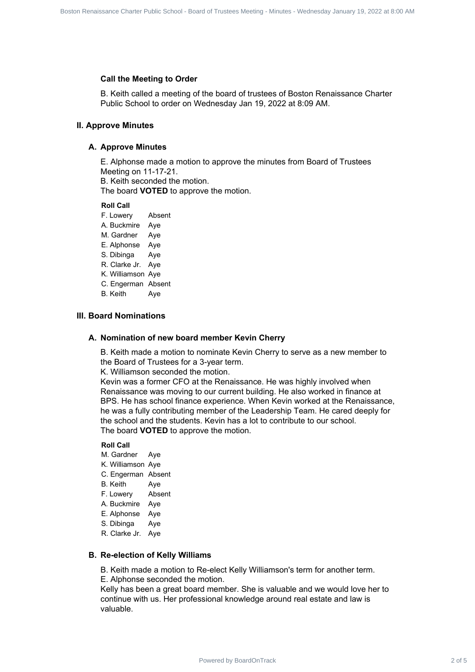#### **Call the Meeting to Order**

B. Keith called a meeting of the board of trustees of Boston Renaissance Charter Public School to order on Wednesday Jan 19, 2022 at 8:09 AM.

# **II. Approve Minutes**

# **A. Approve Minutes**

E. Alphonse made a motion to approve the minutes from Board of Trustees Meeting on 11-17-21. B. Keith seconded the motion. The board **VOTED** to approve the motion.

#### **Roll Call**

F. Lowery Absent A. Buckmire Aye M. Gardner Aye E. Alphonse Aye S. Dibinga Aye R. Clarke Jr. Aye K. Williamson Aye C. Engerman Absent B. Keith Aye

# **III. Board Nominations**

#### **A. Nomination of new board member Kevin Cherry**

B. Keith made a motion to nominate Kevin Cherry to serve as a new member to the Board of Trustees for a 3-year term.

K. Williamson seconded the motion.

Kevin was a former CFO at the Renaissance. He was highly involved when Renaissance was moving to our current building. He also worked in finance at BPS. He has school finance experience. When Kevin worked at the Renaissance, he was a fully contributing member of the Leadership Team. He cared deeply for the school and the students. Kevin has a lot to contribute to our school. The board **VOTED** to approve the motion. Board Board Charter Board Public School - Board Public School - Board School - Board Charter Charter Charter Charter Public School - Board of Trustees Charter Public School - Board of Trustees Meeting - Minutes - Wednesda

#### **Roll Call**

- M. Gardner Aye
- K. Williamson Aye
- C. Engerman Absent
- B. Keith Aye
- F. Lowery Absent
- A. Buckmire Aye
- E. Alphonse Aye
- S. Dibinga Aye
- R. Clarke Jr. Aye

#### **B. Re-election of Kelly Williams**

B. Keith made a motion to Re-elect Kelly Williamson's term for another term.

E. Alphonse seconded the motion.

Kelly has been a great board member. She is valuable and we would love her to continue with us. Her professional knowledge around real estate and law is valuable.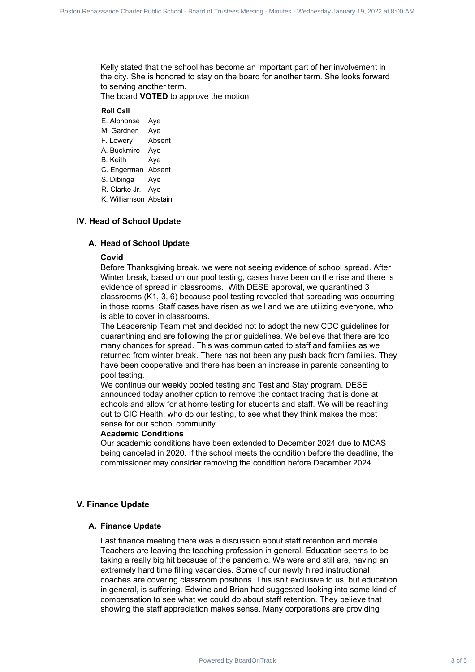Kelly stated that the school has become an important part of her involvement in the city. She is honored to stay on the board for another term. She looks forward to serving another term.

The board **VOTED** to approve the motion.

# **Roll Call**

- E. Alphonse Aye
- M. Gardner Aye
- F. Lowery Absent
- A. Buckmire Aye
- B. Keith Aye
- C. Engerman Absent
- S. Dibinga Aye
- R. Clarke Jr. Aye
- K. Williamson Abstain

#### **IV. Head of School Update**

#### **A. Head of School Update**

#### **Covid**

Before Thanksgiving break, we were not seeing evidence of school spread. After Winter break, based on our pool testing, cases have been on the rise and there is evidence of spread in classrooms. With DESE approval, we quarantined 3 classrooms (K1, 3, 6) because pool testing revealed that spreading was occurring in those rooms. Staff cases have risen as well and we are utilizing everyone, who is able to cover in classrooms.

The Leadership Team met and decided not to adopt the new CDC guidelines for quarantining and are following the prior guidelines. We believe that there are too many chances for spread. This was communicated to staff and families as we returned from winter break. There has not been any push back from families. They have been cooperative and there has been an increase in parents consenting to pool testing.

We continue our weekly pooled testing and Test and Stay program. DESE announced today another option to remove the contact tracing that is done at schools and allow for at home testing for students and staff. We will be reaching out to CIC Health, who do our testing, to see what they think makes the most sense for our school community.

# **Academic Conditions**

Our academic conditions have been extended to December 2024 due to MCAS being canceled in 2020. If the school meets the condition before the deadline, the commissioner may consider removing the condition before December 2024.

#### **V. Finance Update**

#### **A. Finance Update**

Last finance meeting there was a discussion about staff retention and morale. Teachers are leaving the teaching profession in general. Education seems to be taking a really big hit because of the pandemic. We were and still are, having an extremely hard time filling vacancies. Some of our newly hired instructional coaches are covering classroom positions. This isn't exclusive to us, but education in general, is suffering. Edwine and Brian had suggested looking into some kind of compensation to see what we could do about staff retention. They believe that showing the staff appreciation makes sense. Many corporations are providing Board Renaissance Charter State Board France of Transmission of 19, 1980 and the transmission Renaissance Charter Charter Charter Charter Charter Charter Charter Charter Charter Charter Charter Charter Charter Charter Char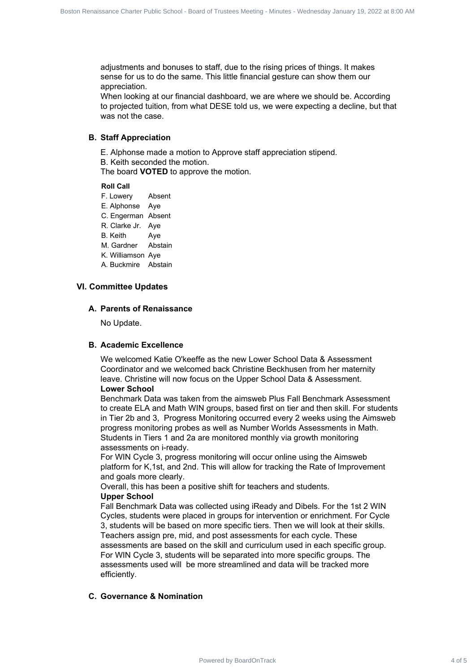adjustments and bonuses to staff, due to the rising prices of things. It makes sense for us to do the same. This little financial gesture can show them our appreciation.

When looking at our financial dashboard, we are where we should be. According to projected tuition, from what DESE told us, we were expecting a decline, but that was not the case.

# **B. Staff Appreciation**

E. Alphonse made a motion to Approve staff appreciation stipend.

B. Keith seconded the motion.

The board **VOTED** to approve the motion.

#### **Roll Call**

F. Lowery Absent

- E. Alphonse Aye
- C. Engerman Absent
- R. Clarke Jr. Aye
- B. Keith Aye
- M. Gardner Abstain
- K. Williamson Aye
- A. Buckmire Abstain

# **VI. Committee Updates**

# **A. Parents of Renaissance**

No Update.

# **B. Academic Excellence**

We welcomed Katie O'keeffe as the new Lower School Data & Assessment Coordinator and we welcomed back Christine Beckhusen from her maternity leave. Christine will now focus on the Upper School Data & Assessment. **Lower School**

Benchmark Data was taken from the aimsweb Plus Fall Benchmark Assessment to create ELA and Math WIN groups, based first on tier and then skill. For students in Tier 2b and 3, Progress Monitoring occurred every 2 weeks using the Aimsweb progress monitoring probes as well as Number Worlds Assessments in Math. Students in Tiers 1 and 2a are monitored monthly via growth monitoring assessments on i-ready.

For WIN Cycle 3, progress monitoring will occur online using the Aimsweb platform for K,1st, and 2nd. This will allow for tracking the Rate of Improvement and goals more clearly.

Overall, this has been a positive shift for teachers and students.

#### **Upper School**

Fall Benchmark Data was collected using iReady and Dibels. For the 1st 2 WIN Cycles, students were placed in groups for intervention or enrichment. For Cycle 3, students will be based on more specific tiers. Then we will look at their skills. Teachers assign pre, mid, and post assessments for each cycle. These assessments are based on the skill and curriculum used in each specific group. For WIN Cycle 3, students will be separated into more specific groups. The assessments used will be more streamlined and data will be tracked more efficiently. Board Contract Charter Charter Charter Charter Charter Charter Charter Charter Charter Charter Charter Charter Charter Charter Charter Charter Charter Charter Charter Charter Charter Charter Charter Charter Charter Charter

# **C. Governance & Nomination**